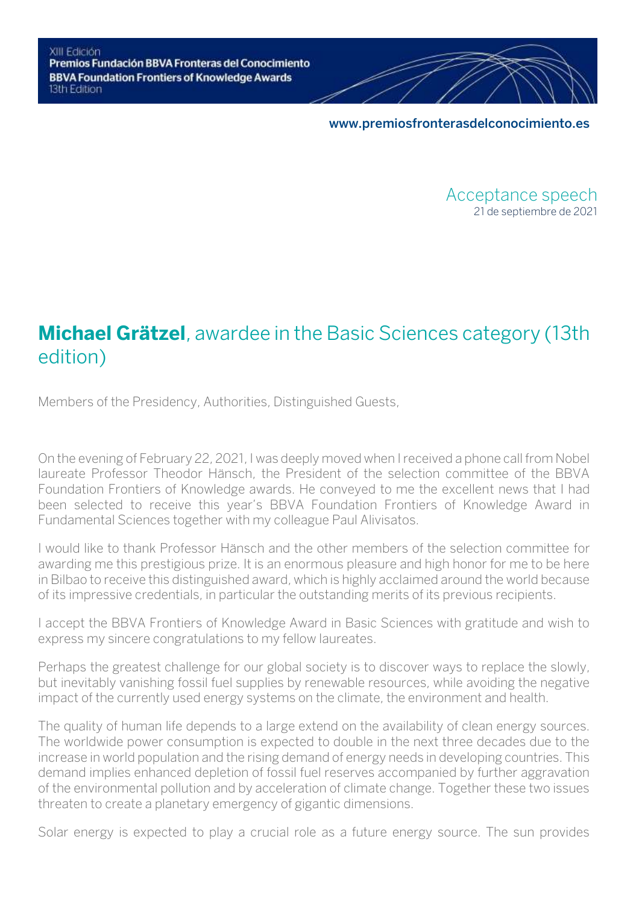**[www.premiosfronterasdelconocimiento.es](https://www.premiosfronterasdelconocimiento.es/)**

Acceptance speech 21 de septiembre de 2021

# **Michael Grätzel**, awardee in the Basic Sciences category (13th edition)

Members of the Presidency, Authorities, Distinguished Guests,

On the evening of February 22, 2021, I was deeply moved when I received a phone call from Nobel laureate Professor Theodor Hänsch, the President of the selection committee of the BBVA Foundation Frontiers of Knowledge awards. He conveyed to me the excellent news that I had been selected to receive this year's BBVA Foundation Frontiers of Knowledge Award in Fundamental Sciences together with my colleague Paul Alivisatos.

I would like to thank Professor Hänsch and the other members of the selection committee for awarding me this prestigious prize. It is an enormous pleasure and high honor for me to be here in Bilbao to receive this distinguished award, which is highly acclaimed around the world because of its impressive credentials, in particular the outstanding merits of its previous recipients.

I accept the BBVA Frontiers of Knowledge Award in Basic Sciences with gratitude and wish to express my sincere congratulations to my fellow laureates.

Perhaps the greatest challenge for our global society is to discover ways to replace the slowly, but inevitably vanishing fossil fuel supplies by renewable resources, while avoiding the negative impact of the currently used energy systems on the climate, the environment and health.

The quality of human life depends to a large extend on the availability of clean energy sources. The worldwide power consumption is expected to double in the next three decades due to the increase in world population and the rising demand of energy needs in developing countries. This demand implies enhanced depletion of fossil fuel reserves accompanied by further aggravation of the environmental pollution and by acceleration of climate change. Together these two issues threaten to create a planetary emergency of gigantic dimensions.

Solar energy is expected to play a crucial role as a future energy source. The sun provides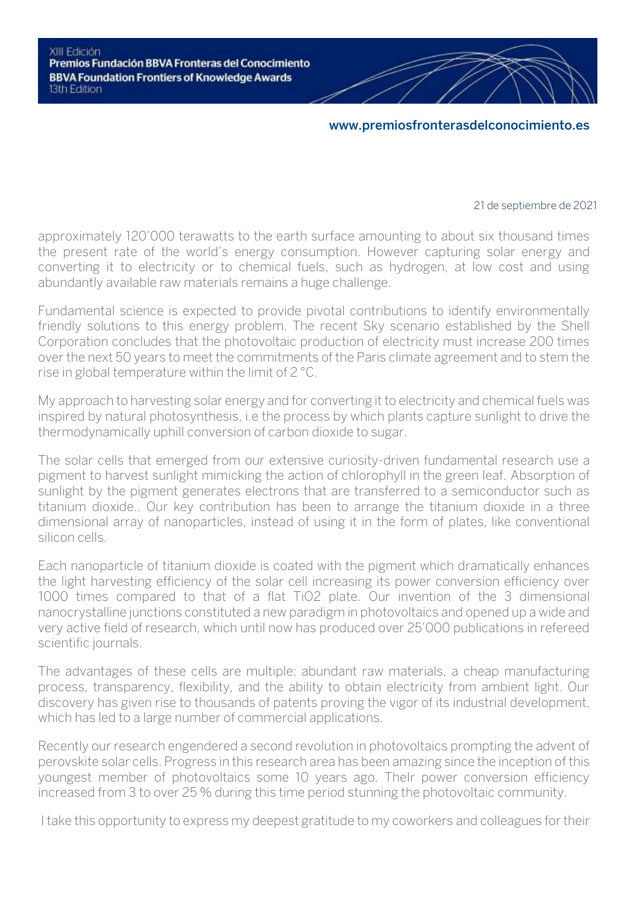## **[www.premiosfronterasdelconocimiento.es](https://www.premiosfronterasdelconocimiento.es/)**

#### 21 de septiembre de 2021

approximately 120'000 terawatts to the earth surface amounting to about six thousand times the present rate of the world's energy consumption. However capturing solar energy and converting it to electricity or to chemical fuels, such as hydrogen, at low cost and using abundantly available raw materials remains a huge challenge.

Fundamental science is expected to provide pivotal contributions to identify environmentally friendly solutions to this energy problem. The recent Sky scenario established by the Shell Corporation concludes that the photovoltaic production of electricity must increase 200 times over the next 50 years to meet the commitments of the Paris climate agreement and to stem the rise in global temperature within the limit of 2 °C.

My approach to harvesting solar energy and for converting it to electricity and chemical fuels was inspired by natural photosynthesis, i.e the process by which plants capture sunlight to drive the thermodynamically uphill conversion of carbon dioxide to sugar.

The solar cells that emerged from our extensive curiosity-driven fundamental research use a pigment to harvest sunlight mimicking the action of chlorophyll in the green leaf. Absorption of sunlight by the pigment generates electrons that are transferred to a semiconductor such as titanium dioxide.. Our key contribution has been to arrange the titanium dioxide in a three dimensional array of nanoparticles, instead of using it in the form of plates, like conventional silicon cells.

Each nanoparticle of titanium dioxide is coated with the pigment which dramatically enhances the light harvesting efficiency of the solar cell increasing its power conversion efficiency over 1000 times compared to that of a flat TiO2 plate. Our invention of the 3 dimensional nanocrystalline junctions constituted a new paradigm in photovoltaics and opened up a wide and very active field of research, which until now has produced over 25'000 publications in refereed scientific journals.

The advantages of these cells are multiple: abundant raw materials, a cheap manufacturing process, transparency, flexibility, and the ability to obtain electricity from ambient light. Our discovery has given rise to thousands of patents proving the vigor of its industrial development, which has led to a large number of commercial applications.

Recently our research engendered a second revolution in photovoltaics prompting the advent of perovskite solar cells. Progress in this research area has been amazing since the inception of this youngest member of photovoltaics some 10 years ago. Thelr power conversion efficiency increased from 3 to over 25 % during this time period stunning the photovoltaic community.

I take this opportunity to express my deepest gratitude to my coworkers and colleagues for their